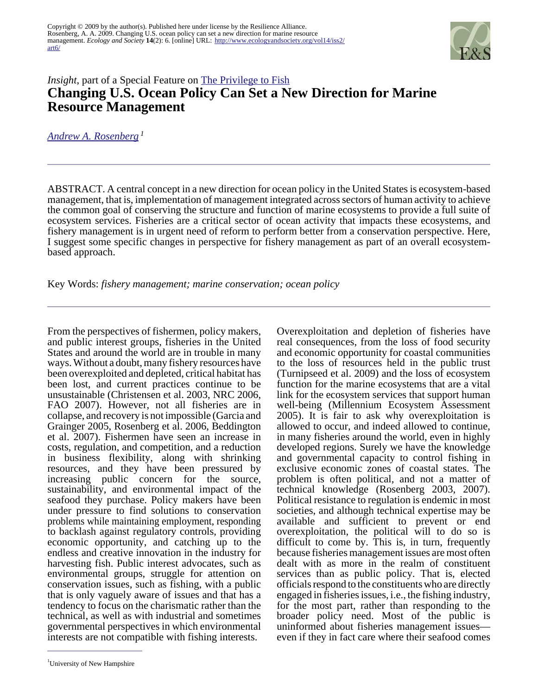

## *Insight*, part of a Special Feature on **[The Privilege to Fish](http://www.ecologyandsociety.org/viewissue.php?sf=37) Changing U.S. Ocean Policy Can Set a New Direction for Marine Resource Management**

*[Andrew A. Rosenberg](mailto:andy.rosenberg@unh.edu)<sup>1</sup>*

ABSTRACT. A central concept in a new direction for ocean policy in the United States is ecosystem-based management, that is, implementation of management integrated across sectors of human activity to achieve the common goal of conserving the structure and function of marine ecosystems to provide a full suite of ecosystem services. Fisheries are a critical sector of ocean activity that impacts these ecosystems, and fishery management is in urgent need of reform to perform better from a conservation perspective. Here, I suggest some specific changes in perspective for fishery management as part of an overall ecosystembased approach.

Key Words: *fishery management; marine conservation; ocean policy*

From the perspectives of fishermen, policy makers, and public interest groups, fisheries in the United States and around the world are in trouble in many ways. Without a doubt, many fishery resources have been overexploited and depleted, critical habitat has been lost, and current practices continue to be unsustainable (Christensen et al. 2003, NRC 2006, FAO 2007). However, not all fisheries are in collapse, and recovery is not impossible (Garcia and Grainger 2005, Rosenberg et al. 2006, Beddington et al. 2007). Fishermen have seen an increase in costs, regulation, and competition, and a reduction in business flexibility, along with shrinking resources, and they have been pressured by increasing public concern for the source, sustainability, and environmental impact of the seafood they purchase. Policy makers have been under pressure to find solutions to conservation problems while maintaining employment, responding to backlash against regulatory controls, providing economic opportunity, and catching up to the endless and creative innovation in the industry for harvesting fish. Public interest advocates, such as environmental groups, struggle for attention on conservation issues, such as fishing, with a public that is only vaguely aware of issues and that has a tendency to focus on the charismatic rather than the technical, as well as with industrial and sometimes governmental perspectives in which environmental interests are not compatible with fishing interests.

Overexploitation and depletion of fisheries have real consequences, from the loss of food security and economic opportunity for coastal communities to the loss of resources held in the public trust (Turnipseed et al. 2009) and the loss of ecosystem function for the marine ecosystems that are a vital link for the ecosystem services that support human well-being (Millennium Ecosystem Assessment 2005). It is fair to ask why overexploitation is allowed to occur, and indeed allowed to continue, in many fisheries around the world, even in highly developed regions. Surely we have the knowledge and governmental capacity to control fishing in exclusive economic zones of coastal states. The problem is often political, and not a matter of technical knowledge (Rosenberg 2003, 2007). Political resistance to regulation is endemic in most societies, and although technical expertise may be available and sufficient to prevent or end overexploitation, the political will to do so is difficult to come by. This is, in turn, frequently because fisheries management issues are most often dealt with as more in the realm of constituent services than as public policy. That is, elected officials respond to the constituents who are directly engaged in fisheries issues, i.e., the fishing industry, for the most part, rather than responding to the broader policy need. Most of the public is uninformed about fisheries management issues even if they in fact care where their seafood comes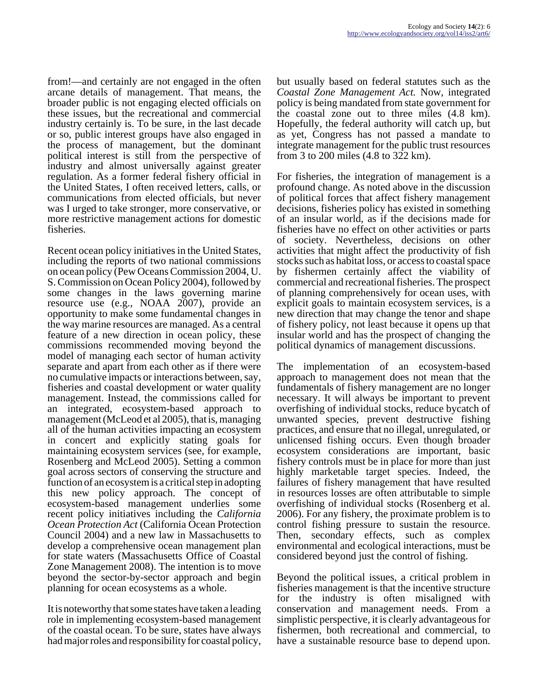from!—and certainly are not engaged in the often arcane details of management. That means, the broader public is not engaging elected officials on these issues, but the recreational and commercial industry certainly is. To be sure, in the last decade or so, public interest groups have also engaged in the process of management, but the dominant political interest is still from the perspective of industry and almost universally against greater regulation. As a former federal fishery official in the United States, I often received letters, calls, or communications from elected officials, but never was I urged to take stronger, more conservative, or more restrictive management actions for domestic fisheries.

Recent ocean policy initiatives in the United States, including the reports of two national commissions on ocean policy (Pew Oceans Commission 2004, U. S. Commission on Ocean Policy 2004), followed by some changes in the laws governing marine resource use (e.g., NOAA  $2007$ ), provide an opportunity to make some fundamental changes in the way marine resources are managed. As a central feature of a new direction in ocean policy, these commissions recommended moving beyond the model of managing each sector of human activity separate and apart from each other as if there were no cumulative impacts or interactions between, say, fisheries and coastal development or water quality management. Instead, the commissions called for an integrated, ecosystem-based approach to management (McLeod et al 2005), that is, managing all of the human activities impacting an ecosystem in concert and explicitly stating goals for maintaining ecosystem services (see, for example, Rosenberg and McLeod 2005). Setting a common goal across sectors of conserving the structure and function of an ecosystem is a critical step in adopting this new policy approach. The concept of ecosystem-based management underlies some recent policy initiatives including the *California Ocean Protection Act* (California Ocean Protection Council 2004) and a new law in Massachusetts to develop a comprehensive ocean management plan for state waters (Massachusetts Office of Coastal Zone Management 2008). The intention is to move beyond the sector-by-sector approach and begin planning for ocean ecosystems as a whole.

It is noteworthy that some states have taken a leading role in implementing ecosystem-based management of the coastal ocean. To be sure, states have always had major roles and responsibility for coastal policy,

but usually based on federal statutes such as the *Coastal Zone Management Act.* Now, integrated policy is being mandated from state government for the coastal zone out to three miles (4.8 km). Hopefully, the federal authority will catch up, but as yet, Congress has not passed a mandate to integrate management for the public trust resources from 3 to 200 miles (4.8 to 322 km).

For fisheries, the integration of management is a profound change. As noted above in the discussion of political forces that affect fishery management decisions, fisheries policy has existed in something of an insular world, as if the decisions made for fisheries have no effect on other activities or parts of society. Nevertheless, decisions on other activities that might affect the productivity of fish stocks such as habitat loss, or access to coastal space by fishermen certainly affect the viability of commercial and recreational fisheries. The prospect of planning comprehensively for ocean uses, with explicit goals to maintain ecosystem services, is a new direction that may change the tenor and shape of fishery policy, not least because it opens up that insular world and has the prospect of changing the political dynamics of management discussions.

The implementation of an ecosystem-based approach to management does not mean that the fundamentals of fishery management are no longer necessary. It will always be important to prevent overfishing of individual stocks, reduce bycatch of unwanted species, prevent destructive fishing practices, and ensure that no illegal, unregulated, or unlicensed fishing occurs. Even though broader ecosystem considerations are important, basic fishery controls must be in place for more than just highly marketable target species. Indeed, the failures of fishery management that have resulted in resources losses are often attributable to simple overfishing of individual stocks (Rosenberg et al. 2006). For any fishery, the proximate problem is to control fishing pressure to sustain the resource. Then, secondary effects, such as complex environmental and ecological interactions, must be considered beyond just the control of fishing.

Beyond the political issues, a critical problem in fisheries management is that the incentive structure for the industry is often misaligned with conservation and management needs. From a simplistic perspective, it is clearly advantageous for fishermen, both recreational and commercial, to have a sustainable resource base to depend upon.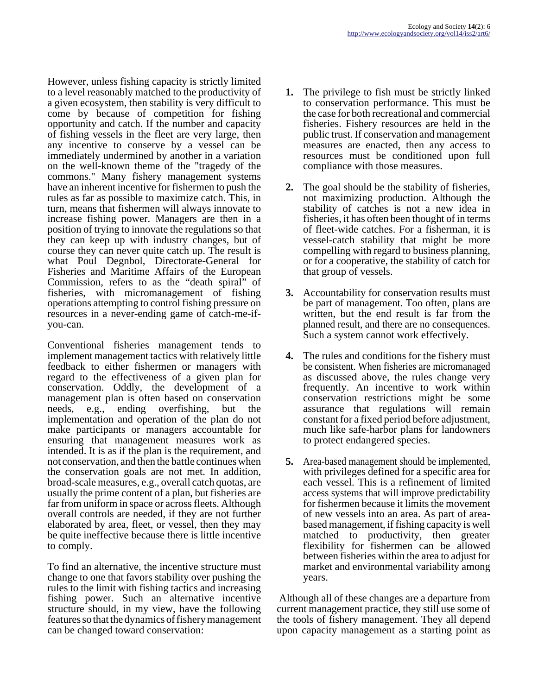However, unless fishing capacity is strictly limited to a level reasonably matched to the productivity of a given ecosystem, then stability is very difficult to come by because of competition for fishing opportunity and catch. If the number and capacity of fishing vessels in the fleet are very large, then any incentive to conserve by a vessel can be immediately undermined by another in a variation on the well-known theme of the "tragedy of the commons." Many fishery management systems have an inherent incentive for fishermen to push the rules as far as possible to maximize catch. This, in turn, means that fishermen will always innovate to increase fishing power. Managers are then in a position of trying to innovate the regulations so that they can keep up with industry changes, but of course they can never quite catch up. The result is what Poul Degnbol, Directorate-General for Fisheries and Maritime Affairs of the European Commission, refers to as the "death spiral" of fisheries, with micromanagement of fishing operations attempting to control fishing pressure on resources in a never-ending game of catch-me-ifyou-can.

Conventional fisheries management tends to implement management tactics with relatively little feedback to either fishermen or managers with regard to the effectiveness of a given plan for conservation. Oddly, the development of a management plan is often based on conservation needs, e.g., ending overfishing, but the implementation and operation of the plan do not make participants or managers accountable for ensuring that management measures work as intended. It is as if the plan is the requirement, and not conservation, and then the battle continues when the conservation goals are not met. In addition, broad-scale measures, e.g., overall catch quotas, are usually the prime content of a plan, but fisheries are far from uniform in space or across fleets. Although overall controls are needed, if they are not further elaborated by area, fleet, or vessel, then they may be quite ineffective because there is little incentive to comply.

To find an alternative, the incentive structure must change to one that favors stability over pushing the rules to the limit with fishing tactics and increasing fishing power. Such an alternative incentive structure should, in my view, have the following features so that the dynamics of fishery management can be changed toward conservation:

- **1.** The privilege to fish must be strictly linked to conservation performance. This must be the case for both recreational and commercial fisheries. Fishery resources are held in the public trust. If conservation and management measures are enacted, then any access to resources must be conditioned upon full compliance with those measures.
- **2.** The goal should be the stability of fisheries, not maximizing production. Although the stability of catches is not a new idea in fisheries, it has often been thought of in terms of fleet-wide catches. For a fisherman, it is vessel-catch stability that might be more compelling with regard to business planning, or for a cooperative, the stability of catch for that group of vessels.
- **3.** Accountability for conservation results must be part of management. Too often, plans are written, but the end result is far from the planned result, and there are no consequences. Such a system cannot work effectively.
- **4.** The rules and conditions for the fishery must be consistent. When fisheries are micromanaged as discussed above, the rules change very frequently. An incentive to work within conservation restrictions might be some assurance that regulations will remain constant for a fixed period before adjustment, much like safe-harbor plans for landowners to protect endangered species.
- **5.** Area-based management should be implemented, with privileges defined for a specific area for each vessel. This is a refinement of limited access systems that will improve predictability for fishermen because it limits the movement of new vessels into an area. As part of areabased management, if fishing capacity is well matched to productivity, then greater flexibility for fishermen can be allowed between fisheries within the area to adjust for market and environmental variability among years.

 Although all of these changes are a departure from current management practice, they still use some of the tools of fishery management. They all depend upon capacity management as a starting point as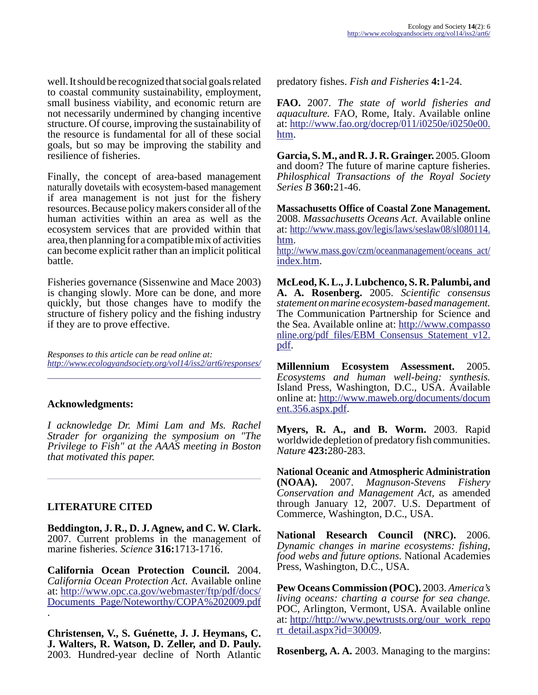well. It should be recognized that social goals related to coastal community sustainability, employment, small business viability, and economic return are not necessarily undermined by changing incentive structure. Of course, improving the sustainability of the resource is fundamental for all of these social goals, but so may be improving the stability and resilience of fisheries.

Finally, the concept of area-based management naturally dovetails with ecosystem-based management if area management is not just for the fishery resources. Because policy makers consider all of the human activities within an area as well as the ecosystem services that are provided within that area, then planning for a compatible mix of activities can become explicit rather than an implicit political battle.

Fisheries governance (Sissenwine and Mace 2003) is changing slowly. More can be done, and more quickly, but those changes have to modify the structure of fishery policy and the fishing industry if they are to prove effective.

*Responses to this article can be read online at: <http://www.ecologyandsociety.org/vol14/iss2/art6/responses/>*

## **Acknowledgments:**

*I acknowledge Dr. Mimi Lam and Ms. Rachel Strader for organizing the symposium on "The Privilege to Fish" at the AAAS meeting in Boston that motivated this paper.* 

## **LITERATURE CITED**

.

**Beddington, J. R., D. J. Agnew, and C. W. Clark.** 2007. Current problems in the management of marine fisheries. *Science* **316:**1713-1716.

**California Ocean Protection Council.** 2004. *California Ocean Protection Act.* Available online at: [http://www.opc.ca.gov/webmaster/ftp/pdf/docs/](http://www.opc.ca.gov/webmaster/ftp/pdf/docs/Documents_Page/Noteworthy/COPA%202009.pdf) [Documents\\_Page/Noteworthy/COPA%202009.pdf](http://www.opc.ca.gov/webmaster/ftp/pdf/docs/Documents_Page/Noteworthy/COPA%202009.pdf)

**Christensen, V., S. Guénette, J. J. Heymans, C. J. Walters, R. Watson, D. Zeller, and D. Pauly.** 2003. Hundred-year decline of North Atlantic predatory fishes. *Fish and Fisheries* **4:**1-24.

**FAO.** 2007. *The state of world fisheries and aquaculture.* FAO, Rome, Italy. Available online at: [http://www.fao.org/docrep/011/i0250e/i0250e00.](http://www.fao.org/docrep/011/i0250e/i0250e00.htm) [htm.](http://www.fao.org/docrep/011/i0250e/i0250e00.htm)

**Garcia, S. M., and R. J. R. Grainger.** 2005. Gloom and doom? The future of marine capture fisheries. *Philosphical Transactions of the Royal Society Series B* **360:**21-46.

**Massachusetts Office of Coastal Zone Management.** 2008. *Massachusetts Oceans Act.* Available online at: [http://www.mass.gov/legis/laws/seslaw08/sl080114.](http://www.mass.gov/legis/laws/seslaw08/sl080114.htm) [htm.](http://www.mass.gov/legis/laws/seslaw08/sl080114.htm)

[http://www.mass.gov/czm/oceanmanagement/oceans\\_act/](http://www.mass.gov/czm/oceanmanagement/oceans_act/index.htm) [index.htm](http://www.mass.gov/czm/oceanmanagement/oceans_act/index.htm).

**McLeod, K. L., J. Lubchenco, S. R. Palumbi, and A. A. Rosenberg.** 2005. *Scientific consensus statement on marine ecosystem-based management.* The Communication Partnership for Science and the Sea. Available online at: [http://www.compasso](http://www.compassonline.org/pdf_files/EBM_Consensus_Statement_v12.pdf) nline.org/pdf\_files/EBM\_Consensus\_Statement\_v12. [pdf.](http://www.compassonline.org/pdf_files/EBM_Consensus_Statement_v12.pdf)

**Millennium Ecosystem Assessment.** 2005. *Ecosystems and human well-being: synthesis.* Island Press, Washington, D.C., USA. Available online at: [http://www.maweb.org/documents/docum](http://www.maweb.org/documents/document.356.aspx.pdf) [ent.356.aspx.pdf.](http://www.maweb.org/documents/document.356.aspx.pdf)

**Myers, R. A., and B. Worm.** 2003. Rapid worldwide depletion of predatory fish communities. *Nature* **423:**280-283.

**National Oceanic and Atmospheric Administration (NOAA).** 2007. *Magnuson-Stevens Fishery Conservation and Management Act,* as amended through January 12, 2007. U.S. Department of Commerce, Washington, D.C., USA.

**National Research Council (NRC).** 2006. *Dynamic changes in marine ecosystems: fishing, food webs and future options.* National Academies Press, Washington, D.C., USA.

**Pew Oceans Commission (POC).** 2003. *America's living oceans: charting a course for sea change.* POC, Arlington, Vermont, USA. Available online at: [http://http://www.pewtrusts.org/our\\_work\\_repo](http://www.pewtrusts.org/our_work_report_detail.aspx?id=30009) [rt\\_detail.aspx?id=30009](http://www.pewtrusts.org/our_work_report_detail.aspx?id=30009).

**Rosenberg, A. A.** 2003. Managing to the margins: